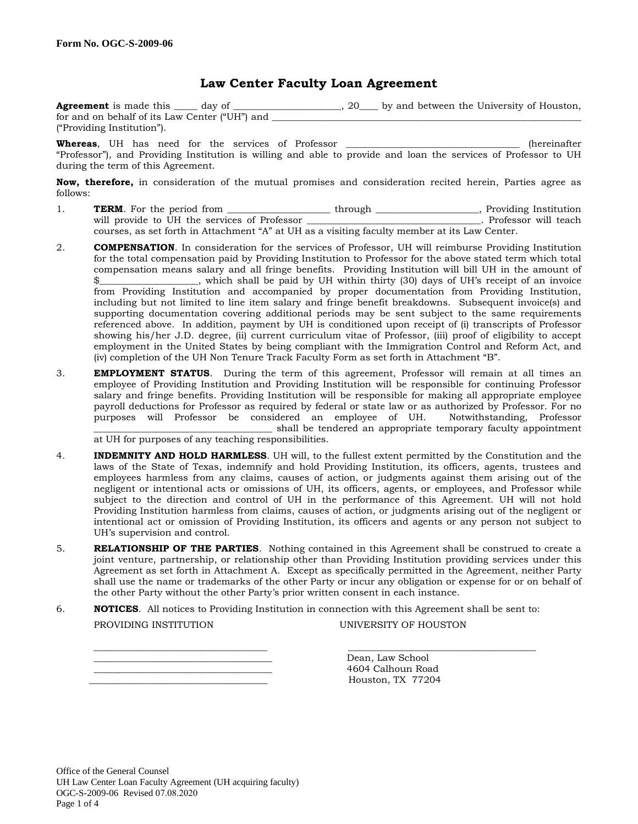### **Law Center Faculty Loan Agreement**

| <b>Agreement</b> is made this day of           |  | 20 by and between the University of Houston, |  |
|------------------------------------------------|--|----------------------------------------------|--|
| for and on behalf of its Law Center ("UH") and |  |                                              |  |
| ("Providing Institution").                     |  |                                              |  |

**Whereas**, UH has need for the services of Professor \_\_\_\_\_\_\_\_\_\_\_\_\_\_\_\_\_\_\_\_\_\_\_\_\_\_\_\_\_\_\_\_\_\_\_\_\_ (hereinafter "Professor"), and Providing Institution is willing and able to provide and loan the services of Professor to UH during the term of this Agreement.

**Now, therefore,** in consideration of the mutual promises and consideration recited herein, Parties agree as follows:

- 1. **TERM**. For the period from \_\_\_\_\_\_\_\_\_\_\_\_\_\_\_\_\_\_\_through \_\_\_\_\_\_\_\_\_\_\_\_\_\_\_, Providing Institution will provide to UH the services of Professor \_\_\_\_\_\_\_\_\_\_\_\_\_\_\_\_\_\_\_\_\_\_\_\_\_\_\_\_\_\_\_\_\_\_. Professor will teach courses, as set forth in Attachment "A" at UH as a visiting faculty member at its Law Center.
- 2. **COMPENSATION**. In consideration for the services of Professor, UH will reimburse Providing Institution for the total compensation paid by Providing Institution to Professor for the above stated term which total compensation means salary and all fringe benefits. Providing Institution will bill UH in the amount of \$\_\_\_\_\_\_\_\_\_\_\_\_\_\_\_\_\_\_, which shall be paid by UH within thirty (30) days of UH's receipt of an invoice from Providing Institution and accompanied by proper documentation from Providing Institution, including but not limited to line item salary and fringe benefit breakdowns. Subsequent invoice(s) and supporting documentation covering additional periods may be sent subject to the same requirements referenced above. In addition, payment by UH is conditioned upon receipt of (i) transcripts of Professor showing his/her J.D. degree, (ii) current curriculum vitae of Professor, (iii) proof of eligibility to accept employment in the United States by being compliant with the Immigration Control and Reform Act, and (iv) completion of the UH Non Tenure Track Faculty Form as set forth in Attachment "B".
- 3. **EMPLOYMENT STATUS**. During the term of this agreement, Professor will remain at all times an employee of Providing Institution and Providing Institution will be responsible for continuing Professor salary and fringe benefits. Providing Institution will be responsible for making all appropriate employee payroll deductions for Professor as required by federal or state law or as authorized by Professor. For no purposes will Professor be considered an employee of UH. Notwithstanding, Professor \_\_\_\_\_\_\_\_\_\_\_\_\_\_\_\_\_\_\_\_\_\_\_\_\_\_\_\_\_\_\_\_\_\_\_\_\_\_ shall be tendered an appropriate temporary faculty appointment

at UH for purposes of any teaching responsibilities.

- 4. **INDEMNITY AND HOLD HARMLESS**. UH will, to the fullest extent permitted by the Constitution and the laws of the State of Texas, indemnify and hold Providing Institution, its officers, agents, trustees and employees harmless from any claims, causes of action, or judgments against them arising out of the negligent or intentional acts or omissions of UH, its officers, agents, or employees, and Professor while subject to the direction and control of UH in the performance of this Agreement. UH will not hold Providing Institution harmless from claims, causes of action, or judgments arising out of the negligent or intentional act or omission of Providing Institution, its officers and agents or any person not subject to UH's supervision and control.
- 5. **RELATIONSHIP OF THE PARTIES**. Nothing contained in this Agreement shall be construed to create a joint venture, partnership, or relationship other than Providing Institution providing services under this Agreement as set forth in Attachment A. Except as specifically permitted in the Agreement, neither Party shall use the name or trademarks of the other Party or incur any obligation or expense for or on behalf of the other Party without the other Party's prior written consent in each instance.

 $\frac{1}{2}$  ,  $\frac{1}{2}$  ,  $\frac{1}{2}$  ,  $\frac{1}{2}$  ,  $\frac{1}{2}$  ,  $\frac{1}{2}$  ,  $\frac{1}{2}$  ,  $\frac{1}{2}$  ,  $\frac{1}{2}$  ,  $\frac{1}{2}$  ,  $\frac{1}{2}$  ,  $\frac{1}{2}$  ,  $\frac{1}{2}$  ,  $\frac{1}{2}$  ,  $\frac{1}{2}$  ,  $\frac{1}{2}$  ,  $\frac{1}{2}$  ,  $\frac{1}{2}$  ,  $\frac{1$ 

- 6. **NOTICES**. All notices to Providing Institution in connection with this Agreement shall be sent to:
	-

PROVIDING INSTITUTION UNIVERSITY OF HOUSTON

Dean, Law School \_\_\_\_\_\_\_\_\_\_\_\_\_\_\_\_\_\_\_\_\_\_\_\_\_\_\_\_\_\_\_\_\_\_\_\_\_\_ 4604 Calhoun Road \_\_\_\_\_\_\_\_\_\_\_\_\_\_\_\_\_\_\_\_\_\_\_\_\_\_\_\_\_\_\_\_\_\_\_\_\_\_ Houston, TX 77204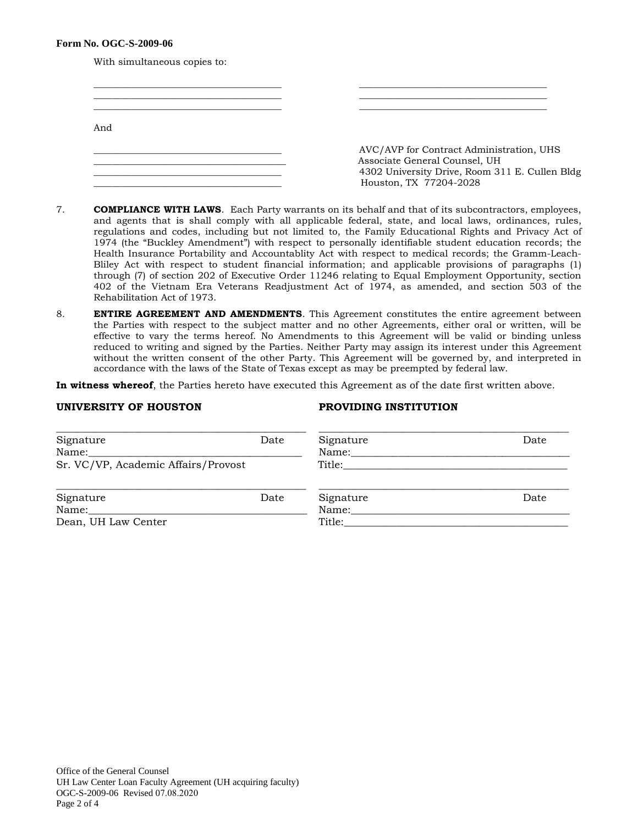#### **Form No. OGC-S-2009-06**

With simultaneous copies to:

| And |                                                                           |
|-----|---------------------------------------------------------------------------|
|     | AVC/AVP for Contract Administration, UHS<br>Associate General Counsel, UH |
|     | 4302 University Drive, Room 311 E. Cullen Bldg<br>Houston, TX 77204-2028  |

- 7. **COMPLIANCE WITH LAWS**. Each Party warrants on its behalf and that of its subcontractors, employees, and agents that is shall comply with all applicable federal, state, and local laws, ordinances, rules, regulations and codes, including but not limited to, the Family Educational Rights and Privacy Act of 1974 (the "Buckley Amendment") with respect to personally identifiable student education records; the Health Insurance Portability and Accountablity Act with respect to medical records; the Gramm-Leach-Bliley Act with respect to student financial information; and applicable provisions of paragraphs (1) through (7) of section 202 of Executive Order 11246 relating to Equal Employment Opportunity, section 402 of the Vietnam Era Veterans Readjustment Act of 1974, as amended, and section 503 of the Rehabilitation Act of 1973.
- 8. **ENTIRE AGREEMENT AND AMENDMENTS**. This Agreement constitutes the entire agreement between the Parties with respect to the subject matter and no other Agreements, either oral or written, will be effective to vary the terms hereof. No Amendments to this Agreement will be valid or binding unless reduced to writing and signed by the Parties. Neither Party may assign its interest under this Agreement without the written consent of the other Party. This Agreement will be governed by, and interpreted in accordance with the laws of the State of Texas except as may be preempted by federal law.

**In witness whereof**, the Parties hereto have executed this Agreement as of the date first written above.

### **UNIVERSITY OF HOUSTON PROVIDING INSTITUTION**

| Signature<br>Name:                  | Date | Signature<br>Name: | Date |
|-------------------------------------|------|--------------------|------|
| Sr. VC/VP, Academic Affairs/Provost |      | Title:             |      |
|                                     |      |                    |      |
| Signature                           | Date | Signature          | Date |
| Name:                               |      | Name:              |      |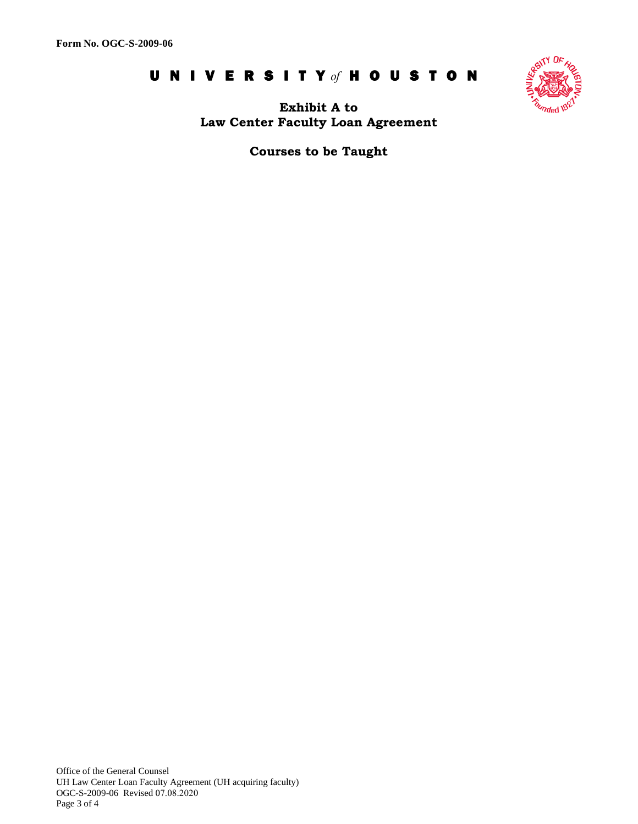# UNIVERSIT Y *of* HOUSTON



**Exhibit A to Law Center Faculty Loan Agreement** 

**Courses to be Taught** 

Office of the General Counsel UH Law Center Loan Faculty Agreement (UH acquiring faculty) OGC-S-2009-06 Revised 07.08.2020 Page 3 of 4